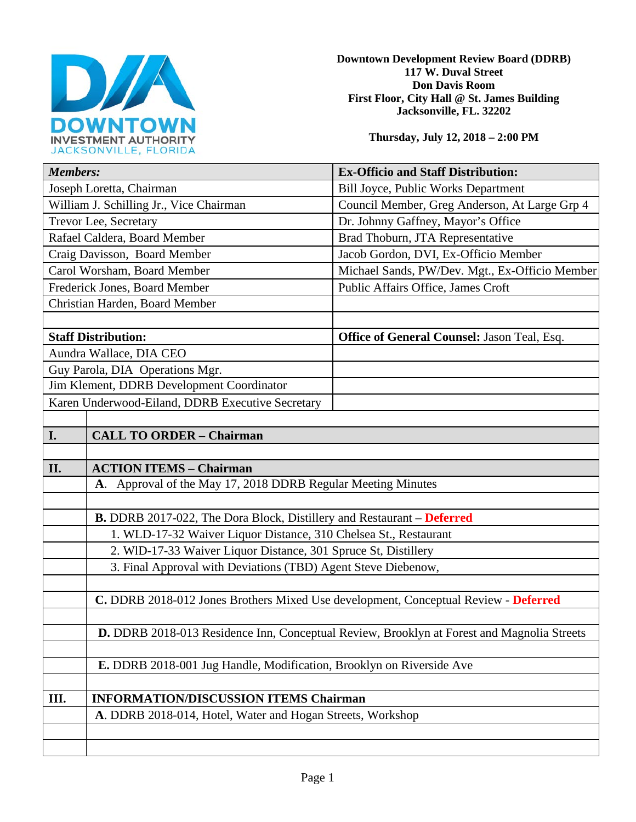

**Downtown Development Review Board (DDRB) 117 W. Duval Street Don Davis Room First Floor, City Hall @ St. James Building Jacksonville, FL. 32202** 

**Thursday, July 12, 2018 – 2:00 PM**

| <b>Members:</b>                                                                     | <b>Ex-Officio and Staff Distribution:</b>                                                  |  |
|-------------------------------------------------------------------------------------|--------------------------------------------------------------------------------------------|--|
| Joseph Loretta, Chairman                                                            | Bill Joyce, Public Works Department                                                        |  |
| William J. Schilling Jr., Vice Chairman                                             | Council Member, Greg Anderson, At Large Grp 4                                              |  |
| Trevor Lee, Secretary                                                               | Dr. Johnny Gaffney, Mayor's Office                                                         |  |
| Rafael Caldera, Board Member                                                        | Brad Thoburn, JTA Representative                                                           |  |
| Craig Davisson, Board Member                                                        | Jacob Gordon, DVI, Ex-Officio Member                                                       |  |
| Carol Worsham, Board Member                                                         | Michael Sands, PW/Dev. Mgt., Ex-Officio Member                                             |  |
| Frederick Jones, Board Member                                                       | Public Affairs Office, James Croft                                                         |  |
| Christian Harden, Board Member                                                      |                                                                                            |  |
|                                                                                     |                                                                                            |  |
| <b>Staff Distribution:</b>                                                          | Office of General Counsel: Jason Teal, Esq.                                                |  |
| Aundra Wallace, DIA CEO                                                             |                                                                                            |  |
| Guy Parola, DIA Operations Mgr.                                                     |                                                                                            |  |
| Jim Klement, DDRB Development Coordinator                                           |                                                                                            |  |
| Karen Underwood-Eiland, DDRB Executive Secretary                                    |                                                                                            |  |
|                                                                                     |                                                                                            |  |
| I.<br><b>CALL TO ORDER - Chairman</b>                                               |                                                                                            |  |
|                                                                                     |                                                                                            |  |
| II.<br><b>ACTION ITEMS - Chairman</b>                                               |                                                                                            |  |
| A. Approval of the May 17, 2018 DDRB Regular Meeting Minutes                        |                                                                                            |  |
|                                                                                     |                                                                                            |  |
| <b>B.</b> DDRB 2017-022, The Dora Block, Distillery and Restaurant – Deferred       |                                                                                            |  |
| 1. WLD-17-32 Waiver Liquor Distance, 310 Chelsea St., Restaurant                    |                                                                                            |  |
| 2. WID-17-33 Waiver Liquor Distance, 301 Spruce St, Distillery                      |                                                                                            |  |
| 3. Final Approval with Deviations (TBD) Agent Steve Diebenow,                       |                                                                                            |  |
|                                                                                     |                                                                                            |  |
| C. DDRB 2018-012 Jones Brothers Mixed Use development, Conceptual Review - Deferred |                                                                                            |  |
|                                                                                     |                                                                                            |  |
|                                                                                     | D. DDRB 2018-013 Residence Inn, Conceptual Review, Brooklyn at Forest and Magnolia Streets |  |
|                                                                                     |                                                                                            |  |
| E. DDRB 2018-001 Jug Handle, Modification, Brooklyn on Riverside Ave                |                                                                                            |  |
|                                                                                     |                                                                                            |  |
| III.<br><b>INFORMATION/DISCUSSION ITEMS Chairman</b>                                |                                                                                            |  |
|                                                                                     |                                                                                            |  |
| A. DDRB 2018-014, Hotel, Water and Hogan Streets, Workshop                          |                                                                                            |  |
|                                                                                     |                                                                                            |  |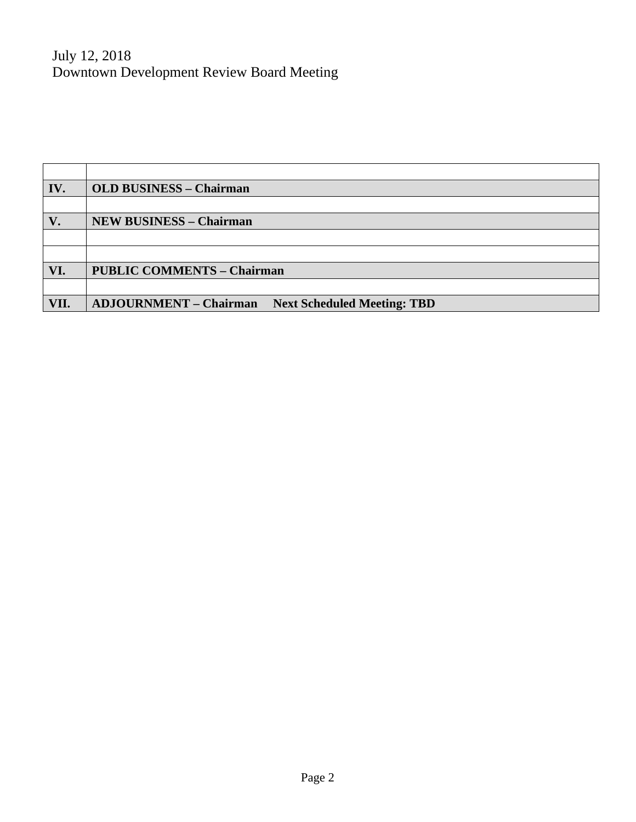July 12, 2018 Downtown Development Review Board Meeting

| IV.  | <b>OLD BUSINESS - Chairman</b>                                      |
|------|---------------------------------------------------------------------|
|      |                                                                     |
| V.   | <b>NEW BUSINESS - Chairman</b>                                      |
|      |                                                                     |
|      |                                                                     |
| VI.  | <b>PUBLIC COMMENTS - Chairman</b>                                   |
|      |                                                                     |
| VII. | <b>ADJOURNMENT - Chairman</b><br><b>Next Scheduled Meeting: TBD</b> |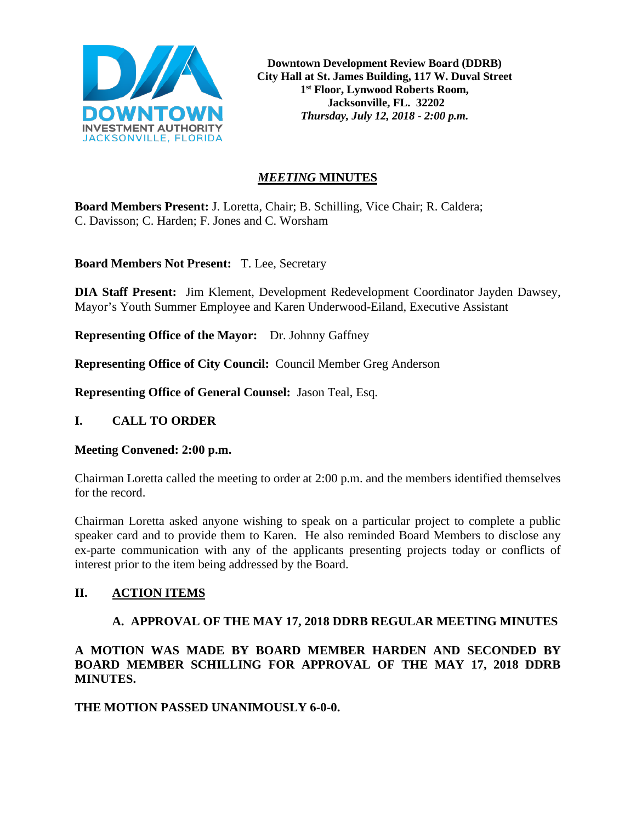

**Downtown Development Review Board (DDRB) City Hall at St. James Building, 117 W. Duval Street 1st Floor, Lynwood Roberts Room, Jacksonville, FL. 32202** *Thursday, July 12, 2018 - 2:00 p.m.*

# *MEETING* **MINUTES**

**Board Members Present:** J. Loretta, Chair; B. Schilling, Vice Chair; R. Caldera; C. Davisson; C. Harden; F. Jones and C. Worsham

**Board Members Not Present:** T. Lee, Secretary

**DIA Staff Present:** Jim Klement, Development Redevelopment Coordinator Jayden Dawsey, Mayor's Youth Summer Employee and Karen Underwood-Eiland, Executive Assistant

**Representing Office of the Mayor:** Dr. Johnny Gaffney

**Representing Office of City Council:** Council Member Greg Anderson

**Representing Office of General Counsel:** Jason Teal, Esq.

# **I. CALL TO ORDER**

# **Meeting Convened: 2:00 p.m.**

Chairman Loretta called the meeting to order at 2:00 p.m. and the members identified themselves for the record.

Chairman Loretta asked anyone wishing to speak on a particular project to complete a public speaker card and to provide them to Karen. He also reminded Board Members to disclose any ex-parte communication with any of the applicants presenting projects today or conflicts of interest prior to the item being addressed by the Board.

# **II. ACTION ITEMS**

# **A. APPROVAL OF THE MAY 17, 2018 DDRB REGULAR MEETING MINUTES**

**A MOTION WAS MADE BY BOARD MEMBER HARDEN AND SECONDED BY BOARD MEMBER SCHILLING FOR APPROVAL OF THE MAY 17, 2018 DDRB MINUTES.** 

# **THE MOTION PASSED UNANIMOUSLY 6-0-0.**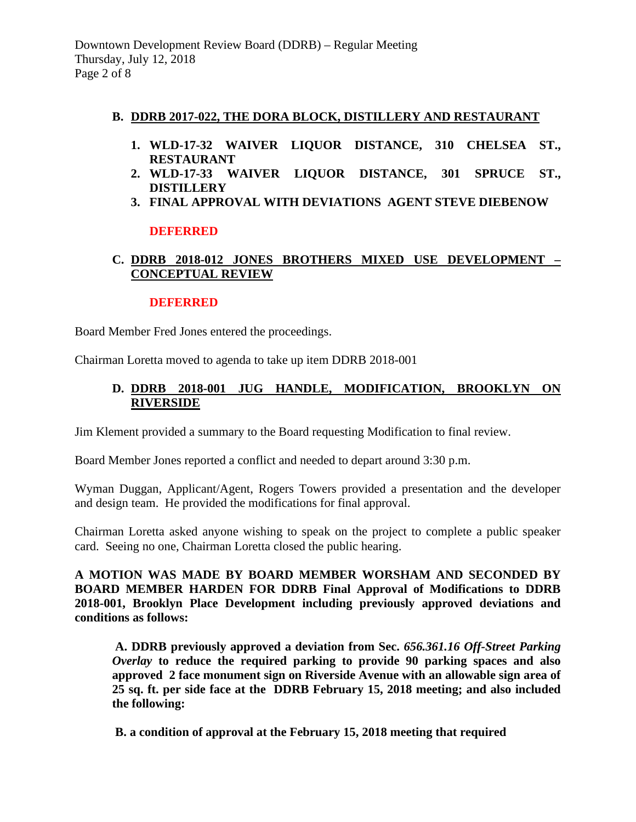#### **B. DDRB 2017-022, THE DORA BLOCK, DISTILLERY AND RESTAURANT**

- **1. WLD-17-32 WAIVER LIQUOR DISTANCE, 310 CHELSEA ST., RESTAURANT**
- **2. WLD-17-33 WAIVER LIQUOR DISTANCE, 301 SPRUCE ST., DISTILLERY**
- **3. FINAL APPROVAL WITH DEVIATIONS AGENT STEVE DIEBENOW**

#### **DEFERRED**

# **C. DDRB 2018-012 JONES BROTHERS MIXED USE DEVELOPMENT – CONCEPTUAL REVIEW**

#### **DEFERRED**

Board Member Fred Jones entered the proceedings.

Chairman Loretta moved to agenda to take up item DDRB 2018-001

### **D. DDRB 2018-001 JUG HANDLE, MODIFICATION, BROOKLYN ON RIVERSIDE**

Jim Klement provided a summary to the Board requesting Modification to final review.

Board Member Jones reported a conflict and needed to depart around 3:30 p.m.

Wyman Duggan, Applicant/Agent, Rogers Towers provided a presentation and the developer and design team. He provided the modifications for final approval.

Chairman Loretta asked anyone wishing to speak on the project to complete a public speaker card. Seeing no one, Chairman Loretta closed the public hearing.

**A MOTION WAS MADE BY BOARD MEMBER WORSHAM AND SECONDED BY BOARD MEMBER HARDEN FOR DDRB Final Approval of Modifications to DDRB 2018-001, Brooklyn Place Development including previously approved deviations and conditions as follows:**

**A. DDRB previously approved a deviation from Sec.** *656.361.16 Off-Street Parking Overlay* **to reduce the required parking to provide 90 parking spaces and also approved 2 face monument sign on Riverside Avenue with an allowable sign area of 25 sq. ft. per side face at the DDRB February 15, 2018 meeting; and also included the following:**

**B. a condition of approval at the February 15, 2018 meeting that required**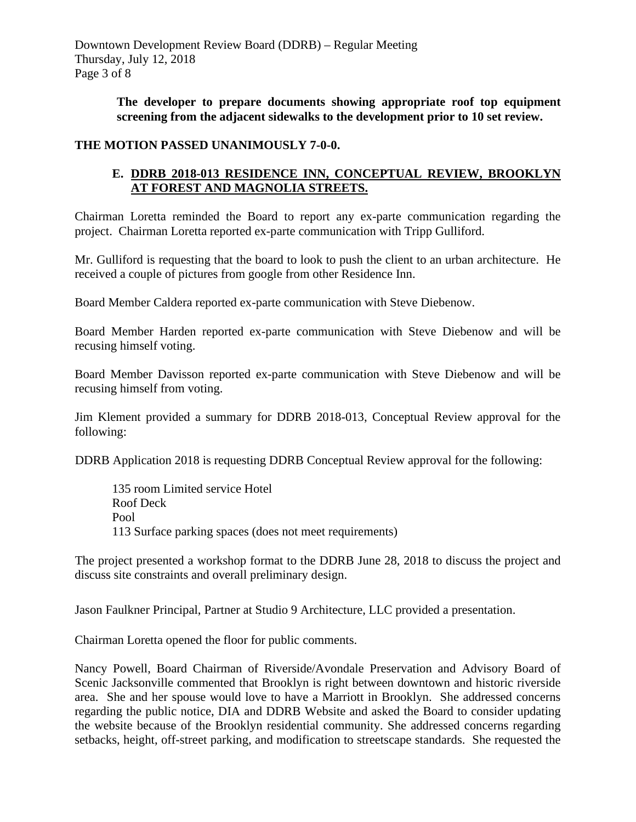**The developer to prepare documents showing appropriate roof top equipment screening from the adjacent sidewalks to the development prior to 10 set review.**

### **THE MOTION PASSED UNANIMOUSLY 7-0-0.**

### **E. DDRB 2018-013 RESIDENCE INN, CONCEPTUAL REVIEW, BROOKLYN AT FOREST AND MAGNOLIA STREETS.**

Chairman Loretta reminded the Board to report any ex-parte communication regarding the project. Chairman Loretta reported ex-parte communication with Tripp Gulliford.

Mr. Gulliford is requesting that the board to look to push the client to an urban architecture. He received a couple of pictures from google from other Residence Inn.

Board Member Caldera reported ex-parte communication with Steve Diebenow.

Board Member Harden reported ex-parte communication with Steve Diebenow and will be recusing himself voting.

Board Member Davisson reported ex-parte communication with Steve Diebenow and will be recusing himself from voting.

Jim Klement provided a summary for DDRB 2018-013, Conceptual Review approval for the following:

DDRB Application 2018 is requesting DDRB Conceptual Review approval for the following:

 135 room Limited service Hotel Roof Deck Pool 113 Surface parking spaces (does not meet requirements)

The project presented a workshop format to the DDRB June 28, 2018 to discuss the project and discuss site constraints and overall preliminary design.

Jason Faulkner Principal, Partner at Studio 9 Architecture, LLC provided a presentation.

Chairman Loretta opened the floor for public comments.

Nancy Powell, Board Chairman of Riverside/Avondale Preservation and Advisory Board of Scenic Jacksonville commented that Brooklyn is right between downtown and historic riverside area. She and her spouse would love to have a Marriott in Brooklyn. She addressed concerns regarding the public notice, DIA and DDRB Website and asked the Board to consider updating the website because of the Brooklyn residential community. She addressed concerns regarding setbacks, height, off-street parking, and modification to streetscape standards. She requested the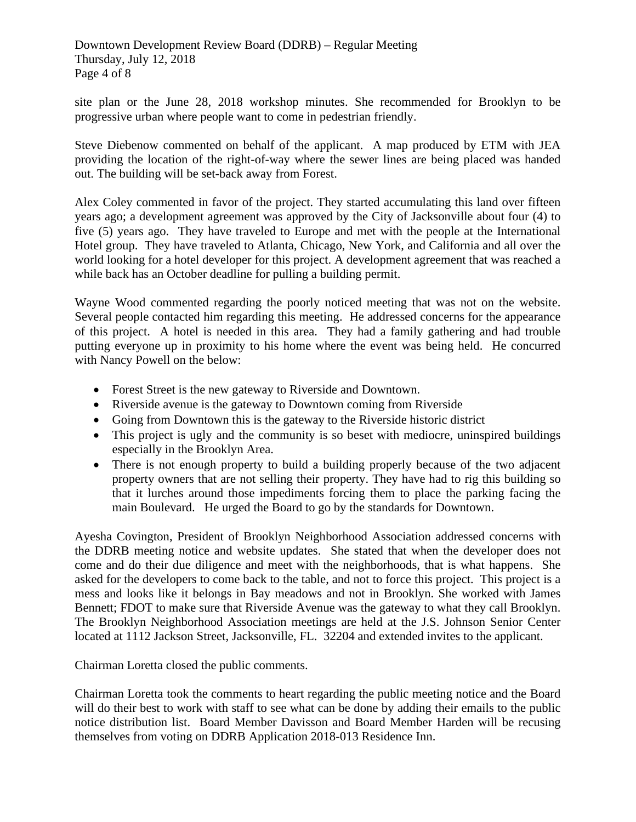Downtown Development Review Board (DDRB) – Regular Meeting Thursday, July 12, 2018 Page 4 of 8

site plan or the June 28, 2018 workshop minutes. She recommended for Brooklyn to be progressive urban where people want to come in pedestrian friendly.

Steve Diebenow commented on behalf of the applicant. A map produced by ETM with JEA providing the location of the right-of-way where the sewer lines are being placed was handed out. The building will be set-back away from Forest.

Alex Coley commented in favor of the project. They started accumulating this land over fifteen years ago; a development agreement was approved by the City of Jacksonville about four (4) to five (5) years ago. They have traveled to Europe and met with the people at the International Hotel group. They have traveled to Atlanta, Chicago, New York, and California and all over the world looking for a hotel developer for this project. A development agreement that was reached a while back has an October deadline for pulling a building permit.

Wayne Wood commented regarding the poorly noticed meeting that was not on the website. Several people contacted him regarding this meeting. He addressed concerns for the appearance of this project. A hotel is needed in this area. They had a family gathering and had trouble putting everyone up in proximity to his home where the event was being held. He concurred with Nancy Powell on the below:

- Forest Street is the new gateway to Riverside and Downtown.
- Riverside avenue is the gateway to Downtown coming from Riverside
- Going from Downtown this is the gateway to the Riverside historic district
- This project is ugly and the community is so beset with mediocre, uninspired buildings especially in the Brooklyn Area.
- There is not enough property to build a building properly because of the two adjacent property owners that are not selling their property. They have had to rig this building so that it lurches around those impediments forcing them to place the parking facing the main Boulevard. He urged the Board to go by the standards for Downtown.

Ayesha Covington, President of Brooklyn Neighborhood Association addressed concerns with the DDRB meeting notice and website updates. She stated that when the developer does not come and do their due diligence and meet with the neighborhoods, that is what happens. She asked for the developers to come back to the table, and not to force this project. This project is a mess and looks like it belongs in Bay meadows and not in Brooklyn. She worked with James Bennett; FDOT to make sure that Riverside Avenue was the gateway to what they call Brooklyn. The Brooklyn Neighborhood Association meetings are held at the J.S. Johnson Senior Center located at 1112 Jackson Street, Jacksonville, FL. 32204 and extended invites to the applicant.

Chairman Loretta closed the public comments.

Chairman Loretta took the comments to heart regarding the public meeting notice and the Board will do their best to work with staff to see what can be done by adding their emails to the public notice distribution list. Board Member Davisson and Board Member Harden will be recusing themselves from voting on DDRB Application 2018-013 Residence Inn.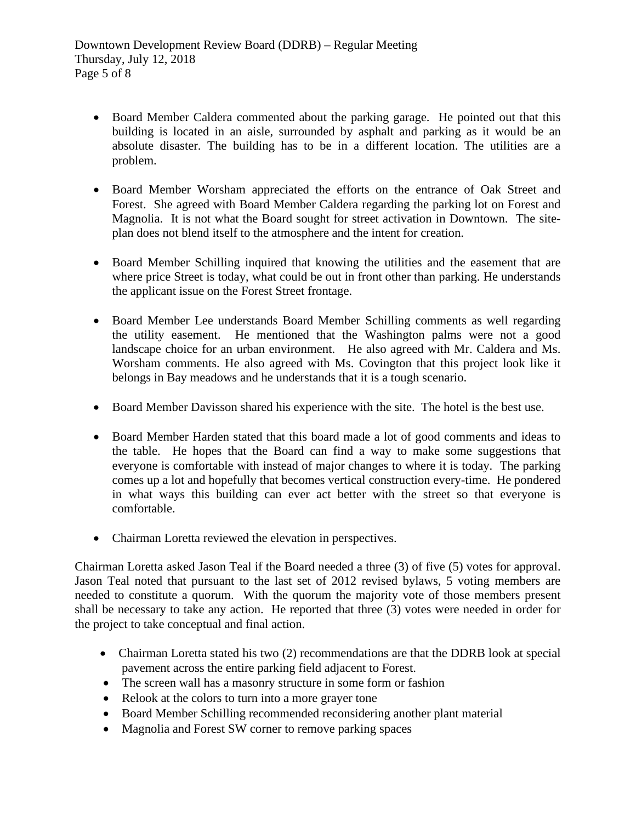- Board Member Caldera commented about the parking garage. He pointed out that this building is located in an aisle, surrounded by asphalt and parking as it would be an absolute disaster. The building has to be in a different location. The utilities are a problem.
- Board Member Worsham appreciated the efforts on the entrance of Oak Street and Forest. She agreed with Board Member Caldera regarding the parking lot on Forest and Magnolia. It is not what the Board sought for street activation in Downtown. The siteplan does not blend itself to the atmosphere and the intent for creation.
- Board Member Schilling inquired that knowing the utilities and the easement that are where price Street is today, what could be out in front other than parking. He understands the applicant issue on the Forest Street frontage.
- Board Member Lee understands Board Member Schilling comments as well regarding the utility easement. He mentioned that the Washington palms were not a good landscape choice for an urban environment. He also agreed with Mr. Caldera and Ms. Worsham comments. He also agreed with Ms. Covington that this project look like it belongs in Bay meadows and he understands that it is a tough scenario.
- Board Member Davisson shared his experience with the site. The hotel is the best use.
- Board Member Harden stated that this board made a lot of good comments and ideas to the table. He hopes that the Board can find a way to make some suggestions that everyone is comfortable with instead of major changes to where it is today. The parking comes up a lot and hopefully that becomes vertical construction every-time. He pondered in what ways this building can ever act better with the street so that everyone is comfortable.
- Chairman Loretta reviewed the elevation in perspectives.

Chairman Loretta asked Jason Teal if the Board needed a three (3) of five (5) votes for approval. Jason Teal noted that pursuant to the last set of 2012 revised bylaws, 5 voting members are needed to constitute a quorum. With the quorum the majority vote of those members present shall be necessary to take any action. He reported that three (3) votes were needed in order for the project to take conceptual and final action.

- Chairman Loretta stated his two (2) recommendations are that the DDRB look at special pavement across the entire parking field adjacent to Forest.
- The screen wall has a masonry structure in some form or fashion
- Relook at the colors to turn into a more grayer tone
- Board Member Schilling recommended reconsidering another plant material
- Magnolia and Forest SW corner to remove parking spaces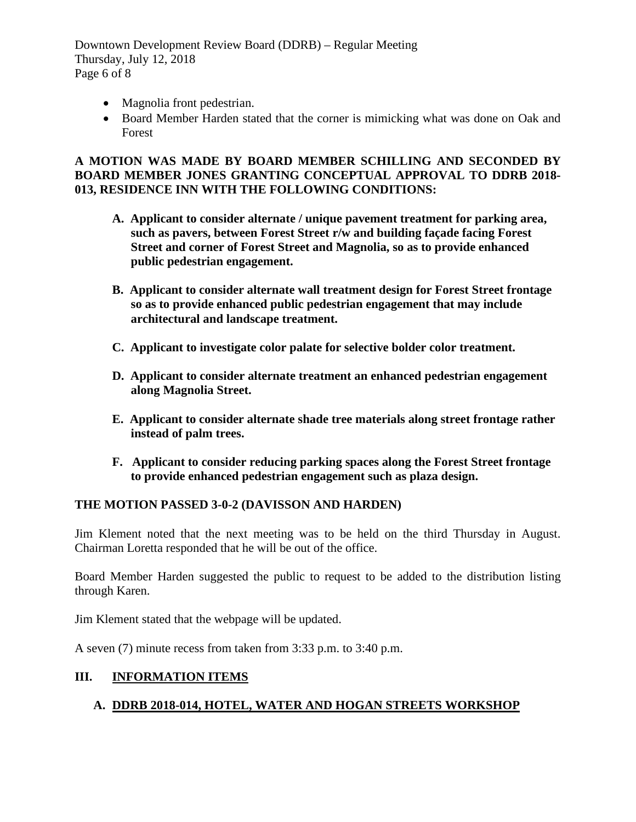Downtown Development Review Board (DDRB) – Regular Meeting Thursday, July 12, 2018 Page 6 of 8

- Magnolia front pedestrian.
- Board Member Harden stated that the corner is mimicking what was done on Oak and Forest

# **A MOTION WAS MADE BY BOARD MEMBER SCHILLING AND SECONDED BY BOARD MEMBER JONES GRANTING CONCEPTUAL APPROVAL TO DDRB 2018- 013, RESIDENCE INN WITH THE FOLLOWING CONDITIONS:**

- **A. Applicant to consider alternate / unique pavement treatment for parking area, such as pavers, between Forest Street r/w and building façade facing Forest Street and corner of Forest Street and Magnolia, so as to provide enhanced public pedestrian engagement.**
- **B. Applicant to consider alternate wall treatment design for Forest Street frontage so as to provide enhanced public pedestrian engagement that may include architectural and landscape treatment.**
- **C. Applicant to investigate color palate for selective bolder color treatment.**
- **D. Applicant to consider alternate treatment an enhanced pedestrian engagement along Magnolia Street.**
- **E. Applicant to consider alternate shade tree materials along street frontage rather instead of palm trees.**
- **F. Applicant to consider reducing parking spaces along the Forest Street frontage to provide enhanced pedestrian engagement such as plaza design.**

# **THE MOTION PASSED 3-0-2 (DAVISSON AND HARDEN)**

Jim Klement noted that the next meeting was to be held on the third Thursday in August. Chairman Loretta responded that he will be out of the office.

Board Member Harden suggested the public to request to be added to the distribution listing through Karen.

Jim Klement stated that the webpage will be updated.

A seven (7) minute recess from taken from 3:33 p.m. to 3:40 p.m.

# **III. INFORMATION ITEMS**

# **A. DDRB 2018-014, HOTEL, WATER AND HOGAN STREETS WORKSHOP**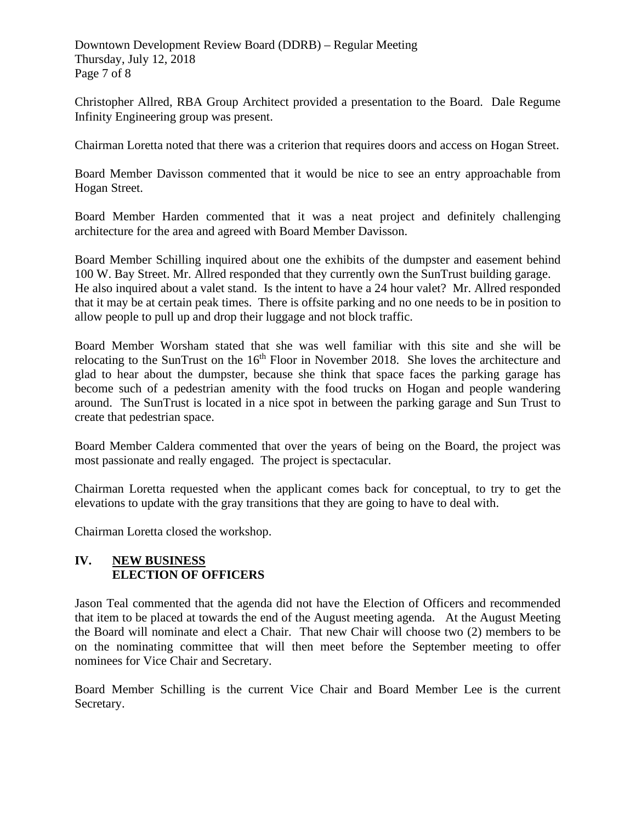Downtown Development Review Board (DDRB) – Regular Meeting Thursday, July 12, 2018 Page 7 of 8

Christopher Allred, RBA Group Architect provided a presentation to the Board. Dale Regume Infinity Engineering group was present.

Chairman Loretta noted that there was a criterion that requires doors and access on Hogan Street.

Board Member Davisson commented that it would be nice to see an entry approachable from Hogan Street.

Board Member Harden commented that it was a neat project and definitely challenging architecture for the area and agreed with Board Member Davisson.

Board Member Schilling inquired about one the exhibits of the dumpster and easement behind 100 W. Bay Street. Mr. Allred responded that they currently own the SunTrust building garage. He also inquired about a valet stand. Is the intent to have a 24 hour valet? Mr. Allred responded that it may be at certain peak times. There is offsite parking and no one needs to be in position to allow people to pull up and drop their luggage and not block traffic.

Board Member Worsham stated that she was well familiar with this site and she will be relocating to the SunTrust on the  $16<sup>th</sup>$  Floor in November 2018. She loves the architecture and glad to hear about the dumpster, because she think that space faces the parking garage has become such of a pedestrian amenity with the food trucks on Hogan and people wandering around. The SunTrust is located in a nice spot in between the parking garage and Sun Trust to create that pedestrian space.

Board Member Caldera commented that over the years of being on the Board, the project was most passionate and really engaged. The project is spectacular.

Chairman Loretta requested when the applicant comes back for conceptual, to try to get the elevations to update with the gray transitions that they are going to have to deal with.

Chairman Loretta closed the workshop.

# **IV. NEW BUSINESS ELECTION OF OFFICERS**

Jason Teal commented that the agenda did not have the Election of Officers and recommended that item to be placed at towards the end of the August meeting agenda. At the August Meeting the Board will nominate and elect a Chair. That new Chair will choose two (2) members to be on the nominating committee that will then meet before the September meeting to offer nominees for Vice Chair and Secretary.

Board Member Schilling is the current Vice Chair and Board Member Lee is the current Secretary.